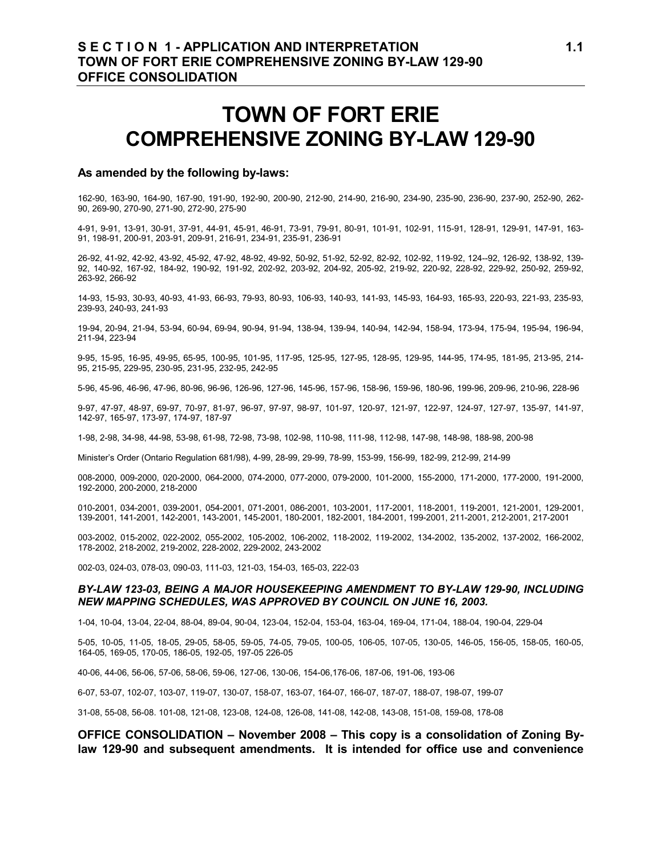# **TOWN OF FORT ERIE COMPREHENSIVE ZONING BY-LAW 129-90**

#### **As amended by the following by-laws:**

162-90, 163-90, 164-90, 167-90, 191-90, 192-90, 200-90, 212-90, 214-90, 216-90, 234-90, 235-90, 236-90, 237-90, 252-90, 262- 90, 269-90, 270-90, 271-90, 272-90, 275-90

4-91, 9-91, 13-91, 30-91, 37-91, 44-91, 45-91, 46-91, 73-91, 79-91, 80-91, 101-91, 102-91, 115-91, 128-91, 129-91, 147-91, 163- 91, 198-91, 200-91, 203-91, 209-91, 216-91, 234-91, 235-91, 236-91

26-92, 41-92, 42-92, 43-92, 45-92, 47-92, 48-92, 49-92, 50-92, 51-92, 52-92, 82-92, 102-92, 119-92, 124--92, 126-92, 138-92, 139- 92, 140-92, 167-92, 184-92, 190-92, 191-92, 202-92, 203-92, 204-92, 205-92, 219-92, 220-92, 228-92, 229-92, 250-92, 259-92, 263-92, 266-92

14-93, 15-93, 30-93, 40-93, 41-93, 66-93, 79-93, 80-93, 106-93, 140-93, 141-93, 145-93, 164-93, 165-93, 220-93, 221-93, 235-93, 239-93, 240-93, 241-93

19-94, 20-94, 21-94, 53-94, 60-94, 69-94, 90-94, 91-94, 138-94, 139-94, 140-94, 142-94, 158-94, 173-94, 175-94, 195-94, 196-94, 211-94, 223-94

9-95, 15-95, 16-95, 49-95, 65-95, 100-95, 101-95, 117-95, 125-95, 127-95, 128-95, 129-95, 144-95, 174-95, 181-95, 213-95, 214- 95, 215-95, 229-95, 230-95, 231-95, 232-95, 242-95

5-96, 45-96, 46-96, 47-96, 80-96, 96-96, 126-96, 127-96, 145-96, 157-96, 158-96, 159-96, 180-96, 199-96, 209-96, 210-96, 228-96

9-97, 47-97, 48-97, 69-97, 70-97, 81-97, 96-97, 97-97, 98-97, 101-97, 120-97, 121-97, 122-97, 124-97, 127-97, 135-97, 141-97, 142-97, 165-97, 173-97, 174-97, 187-97

1-98, 2-98, 34-98, 44-98, 53-98, 61-98, 72-98, 73-98, 102-98, 110-98, 111-98, 112-98, 147-98, 148-98, 188-98, 200-98

Minister's Order (Ontario Regulation 681/98), 4-99, 28-99, 29-99, 78-99, 153-99, 156-99, 182-99, 212-99, 214-99

008-2000, 009-2000, 020-2000, 064-2000, 074-2000, 077-2000, 079-2000, 101-2000, 155-2000, 171-2000, 177-2000, 191-2000, 192-2000, 200-2000, 218-2000

010-2001, 034-2001, 039-2001, 054-2001, 071-2001, 086-2001, 103-2001, 117-2001, 118-2001, 119-2001, 121-2001, 129-2001, 139-2001, 141-2001, 142-2001, 143-2001, 145-2001, 180-2001, 182-2001, 184-2001, 199-2001, 211-2001, 212-2001, 217-2001

003-2002, 015-2002, 022-2002, 055-2002, 105-2002, 106-2002, 118-2002, 119-2002, 134-2002, 135-2002, 137-2002, 166-2002, 178-2002, 218-2002, 219-2002, 228-2002, 229-2002, 243-2002

002-03, 024-03, 078-03, 090-03, 111-03, 121-03, 154-03, 165-03, 222-03

#### *BY-LAW 123-03, BEING A MAJOR HOUSEKEEPING AMENDMENT TO BY-LAW 129-90, INCLUDING NEW MAPPING SCHEDULES, WAS APPROVED BY COUNCIL ON JUNE 16, 2003.*

1-04, 10-04, 13-04, 22-04, 88-04, 89-04, 90-04, 123-04, 152-04, 153-04, 163-04, 169-04, 171-04, 188-04, 190-04, 229-04

5-05, 10-05, 11-05, 18-05, 29-05, 58-05, 59-05, 74-05, 79-05, 100-05, 106-05, 107-05, 130-05, 146-05, 156-05, 158-05, 160-05, 164-05, 169-05, 170-05, 186-05, 192-05, 197-05 226-05

40-06, 44-06, 56-06, 57-06, 58-06, 59-06, 127-06, 130-06, 154-06,176-06, 187-06, 191-06, 193-06

6-07, 53-07, 102-07, 103-07, 119-07, 130-07, 158-07, 163-07, 164-07, 166-07, 187-07, 188-07, 198-07, 199-07

31-08, 55-08, 56-08. 101-08, 121-08, 123-08, 124-08, 126-08, 141-08, 142-08, 143-08, 151-08, 159-08, 178-08

#### **OFFICE CONSOLIDATION – November 2008 – This copy is a consolidation of Zoning Bylaw 129-90 and subsequent amendments. It is intended for office use and convenience**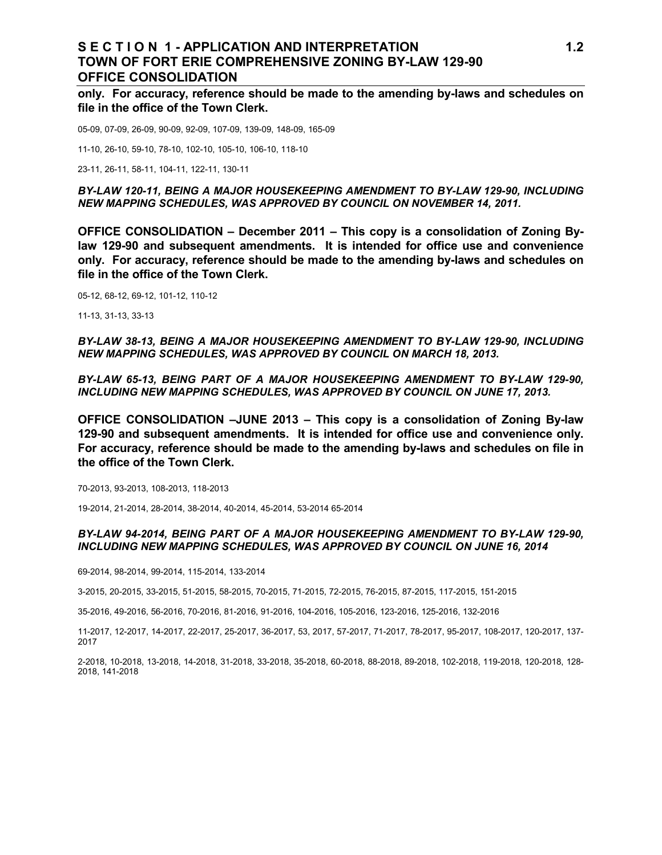#### **S E C T I O N 1 - APPLICATION AND INTERPRETATION 1.2 TOWN OF FORT ERIE COMPREHENSIVE ZONING BY-LAW 129-90 OFFICE CONSOLIDATION**

**only. For accuracy, reference should be made to the amending by-laws and schedules on file in the office of the Town Clerk.**

05-09, 07-09, 26-09, 90-09, 92-09, 107-09, 139-09, 148-09, 165-09

11-10, 26-10, 59-10, 78-10, 102-10, 105-10, 106-10, 118-10

23-11, 26-11, 58-11, 104-11, 122-11, 130-11

*BY-LAW 120-11, BEING A MAJOR HOUSEKEEPING AMENDMENT TO BY-LAW 129-90, INCLUDING NEW MAPPING SCHEDULES, WAS APPROVED BY COUNCIL ON NOVEMBER 14, 2011.*

**OFFICE CONSOLIDATION – December 2011 – This copy is a consolidation of Zoning Bylaw 129-90 and subsequent amendments. It is intended for office use and convenience only. For accuracy, reference should be made to the amending by-laws and schedules on file in the office of the Town Clerk.**

05-12, 68-12, 69-12, 101-12, 110-12

11-13, 31-13, 33-13

*BY-LAW 38-13, BEING A MAJOR HOUSEKEEPING AMENDMENT TO BY-LAW 129-90, INCLUDING NEW MAPPING SCHEDULES, WAS APPROVED BY COUNCIL ON MARCH 18, 2013.* 

*BY-LAW 65-13, BEING PART OF A MAJOR HOUSEKEEPING AMENDMENT TO BY-LAW 129-90, INCLUDING NEW MAPPING SCHEDULES, WAS APPROVED BY COUNCIL ON JUNE 17, 2013.*

**OFFICE CONSOLIDATION –JUNE 2013 – This copy is a consolidation of Zoning By-law 129-90 and subsequent amendments. It is intended for office use and convenience only. For accuracy, reference should be made to the amending by-laws and schedules on file in the office of the Town Clerk.**

70-2013, 93-2013, 108-2013, 118-2013

19-2014, 21-2014, 28-2014, 38-2014, 40-2014, 45-2014, 53-2014 65-2014

#### *BY-LAW 94-2014, BEING PART OF A MAJOR HOUSEKEEPING AMENDMENT TO BY-LAW 129-90, INCLUDING NEW MAPPING SCHEDULES, WAS APPROVED BY COUNCIL ON JUNE 16, 2014*

69-2014, 98-2014, 99-2014, 115-2014, 133-2014

3-2015, 20-2015, 33-2015, 51-2015, 58-2015, 70-2015, 71-2015, 72-2015, 76-2015, 87-2015, 117-2015, 151-2015

35-2016, 49-2016, 56-2016, 70-2016, 81-2016, 91-2016, 104-2016, 105-2016, 123-2016, 125-2016, 132-2016

11-2017, 12-2017, 14-2017, 22-2017, 25-2017, 36-2017, 53, 2017, 57-2017, 71-2017, 78-2017, 95-2017, 108-2017, 120-2017, 137- 2017

2-2018, 10-2018, 13-2018, 14-2018, 31-2018, 33-2018, 35-2018, 60-2018, 88-2018, 89-2018, 102-2018, 119-2018, 120-2018, 128- 2018, 141-2018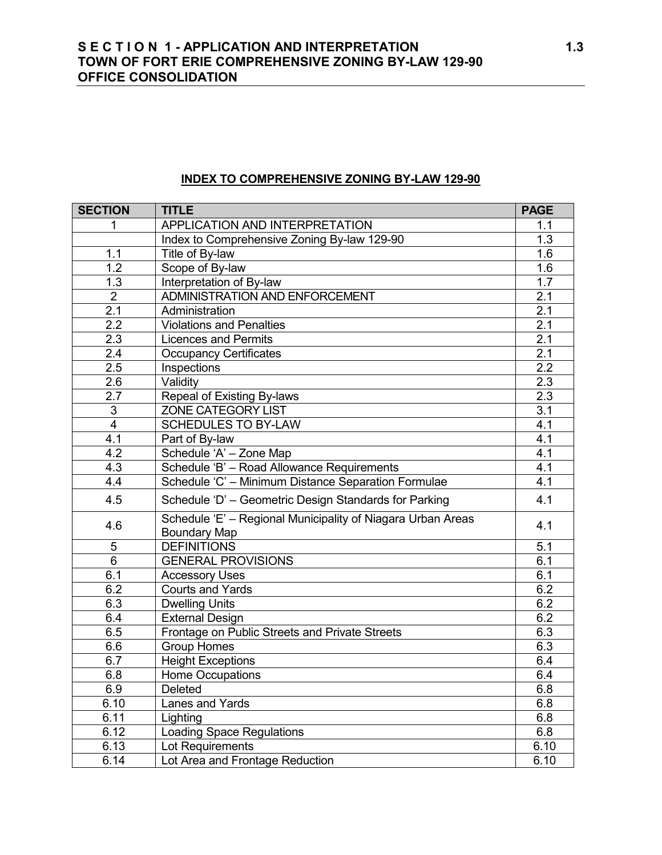# **S E C T I O N 1 - APPLICATION AND INTERPRETATION 1.3 TOWN OF FORT ERIE COMPREHENSIVE ZONING BY-LAW 129-90 OFFICE CONSOLIDATION**

## **INDEX TO COMPREHENSIVE ZONING BY-LAW 129-90**

| <b>SECTION</b>      | <b>TITLE</b>                                                                       | <b>PAGE</b>      |
|---------------------|------------------------------------------------------------------------------------|------------------|
| 1                   | APPLICATION AND INTERPRETATION                                                     | 1.1              |
|                     | Index to Comprehensive Zoning By-law 129-90                                        | 1.3              |
| 1.1                 | Title of By-law                                                                    | 1.6              |
| 1.2                 | Scope of By-law                                                                    | 1.6              |
| 1.3                 | Interpretation of By-law                                                           | 1.7              |
| $\overline{2}$      | ADMINISTRATION AND ENFORCEMENT                                                     | 2.1              |
| 2.1                 | Administration                                                                     | 2.1              |
| $\overline{2.2}$    | <b>Violations and Penalties</b>                                                    | 2.1              |
| 2.3                 | <b>Licences and Permits</b>                                                        | 2.1              |
| 2.4                 | <b>Occupancy Certificates</b>                                                      | 2.1              |
| 2.5                 | Inspections                                                                        | $\overline{2.2}$ |
| 2.6                 | Validity                                                                           | 2.3              |
| $\overline{2.7}$    | Repeal of Existing By-laws                                                         | 2.3              |
| $\overline{\omega}$ | ZONE CATEGORY LIST                                                                 | 3.1              |
| $\overline{4}$      | <b>SCHEDULES TO BY-LAW</b>                                                         | 4.1              |
| 4.1                 | Part of By-law                                                                     | 4.1              |
| 4.2                 | Schedule 'A' - Zone Map                                                            | 4.1              |
| 4.3                 | Schedule 'B' - Road Allowance Requirements                                         | 4.1              |
| 4.4                 | Schedule 'C' - Minimum Distance Separation Formulae                                | 4.1              |
| 4.5                 | Schedule 'D' - Geometric Design Standards for Parking                              | 4.1              |
| 4.6                 | Schedule 'E' - Regional Municipality of Niagara Urban Areas<br><b>Boundary Map</b> | 4.1              |
| 5                   | <b>DEFINITIONS</b>                                                                 | 5.1              |
| 6                   | <b>GENERAL PROVISIONS</b>                                                          | 6.1              |
| 6.1                 | <b>Accessory Uses</b>                                                              | 6.1              |
| 6.2                 | <b>Courts and Yards</b>                                                            | 6.2              |
| 6.3                 | <b>Dwelling Units</b>                                                              | 6.2              |
| 6.4                 | <b>External Design</b>                                                             | 6.2              |
| 6.5                 | Frontage on Public Streets and Private Streets                                     | 6.3              |
| 6.6                 | <b>Group Homes</b>                                                                 | 6.3              |
| 6.7                 | <b>Height Exceptions</b>                                                           | 6.4              |
| 6.8                 | Home Occupations                                                                   | 6.4              |
| 6.9                 | Deleted                                                                            | 6.8              |
| 6.10                | Lanes and Yards                                                                    | 6.8              |
| 6.11                | Lighting                                                                           | 6.8              |
| 6.12                | <b>Loading Space Regulations</b>                                                   | 6.8              |
| 6.13                | Lot Requirements                                                                   | 6.10             |
| 6.14                | Lot Area and Frontage Reduction                                                    | 6.10             |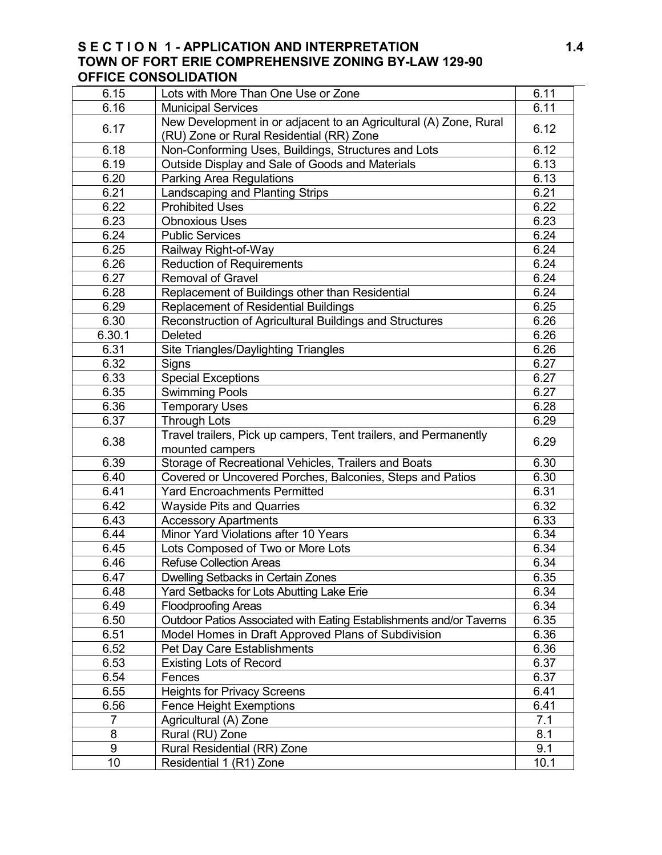# **S E C T I O N 1 - APPLICATION AND INTERPRETATION 1.4 TOWN OF FORT ERIE COMPREHENSIVE ZONING BY-LAW 129-90 OFFICE CONSOLIDATION**

| 6.15             | Lots with More Than One Use or Zone                                                 | 6.11 |  |
|------------------|-------------------------------------------------------------------------------------|------|--|
| 6.16             | <b>Municipal Services</b>                                                           | 6.11 |  |
|                  | New Development in or adjacent to an Agricultural (A) Zone, Rural                   |      |  |
| 6.17             | (RU) Zone or Rural Residential (RR) Zone                                            | 6.12 |  |
| 6.18             | Non-Conforming Uses, Buildings, Structures and Lots                                 | 6.12 |  |
| 6.19             | Outside Display and Sale of Goods and Materials                                     | 6.13 |  |
| 6.20             | <b>Parking Area Regulations</b>                                                     | 6.13 |  |
| 6.21             | Landscaping and Planting Strips                                                     | 6.21 |  |
| 6.22             | <b>Prohibited Uses</b>                                                              | 6.22 |  |
| 6.23             | Obnoxious Uses                                                                      | 6.23 |  |
| 6.24             | <b>Public Services</b>                                                              | 6.24 |  |
| 6.25             | Railway Right-of-Way                                                                | 6.24 |  |
| 6.26             | <b>Reduction of Requirements</b>                                                    | 6.24 |  |
| 6.27             | <b>Removal of Gravel</b>                                                            | 6.24 |  |
| 6.28             | Replacement of Buildings other than Residential                                     | 6.24 |  |
| 6.29             | <b>Replacement of Residential Buildings</b>                                         | 6.25 |  |
| 6.30             | Reconstruction of Agricultural Buildings and Structures                             | 6.26 |  |
| 6.30.1           | <b>Deleted</b>                                                                      | 6.26 |  |
| 6.31             | Site Triangles/Daylighting Triangles                                                | 6.26 |  |
| 6.32             | Signs                                                                               | 6.27 |  |
| 6.33             | <b>Special Exceptions</b>                                                           | 6.27 |  |
| 6.35             | <b>Swimming Pools</b>                                                               | 6.27 |  |
| 6.36             | <b>Temporary Uses</b>                                                               | 6.28 |  |
| 6.37             | <b>Through Lots</b>                                                                 | 6.29 |  |
| 6.38             | Travel trailers, Pick up campers, Tent trailers, and Permanently<br>mounted campers | 6.29 |  |
| 6.39             | Storage of Recreational Vehicles, Trailers and Boats                                | 6.30 |  |
| 6.40             | Covered or Uncovered Porches, Balconies, Steps and Patios                           | 6.30 |  |
| 6.41             | <b>Yard Encroachments Permitted</b>                                                 | 6.31 |  |
| 6.42             | <b>Wayside Pits and Quarries</b>                                                    | 6.32 |  |
| 6.43             | <b>Accessory Apartments</b>                                                         | 6.33 |  |
| 6.44             | Minor Yard Violations after 10 Years                                                | 6.34 |  |
| 6.45             | Lots Composed of Two or More Lots                                                   | 6.34 |  |
| 6.46             | <b>Refuse Collection Areas</b>                                                      | 6.34 |  |
| 6.47             | Dwelling Setbacks in Certain Zones                                                  | 6.35 |  |
| 6.48             | Yard Setbacks for Lots Abutting Lake Erie                                           | 6.34 |  |
| 6.49             | <b>Floodproofing Areas</b>                                                          | 6.34 |  |
| 6.50             | Outdoor Patios Associated with Eating Establishments and/or Taverns                 | 6.35 |  |
| 6.51             | Model Homes in Draft Approved Plans of Subdivision                                  | 6.36 |  |
| 6.52             | Pet Day Care Establishments                                                         | 6.36 |  |
| 6.53             | <b>Existing Lots of Record</b>                                                      | 6.37 |  |
| 6.54             | Fences                                                                              | 6.37 |  |
| 6.55             | <b>Heights for Privacy Screens</b>                                                  | 6.41 |  |
| 6.56             | <b>Fence Height Exemptions</b>                                                      | 6.41 |  |
| $\overline{7}$   | Agricultural (A) Zone                                                               | 7.1  |  |
| 8                | Rural (RU) Zone                                                                     | 8.1  |  |
| $\boldsymbol{9}$ | Rural Residential (RR) Zone                                                         | 9.1  |  |
| 10               | Residential 1 (R1) Zone                                                             | 10.1 |  |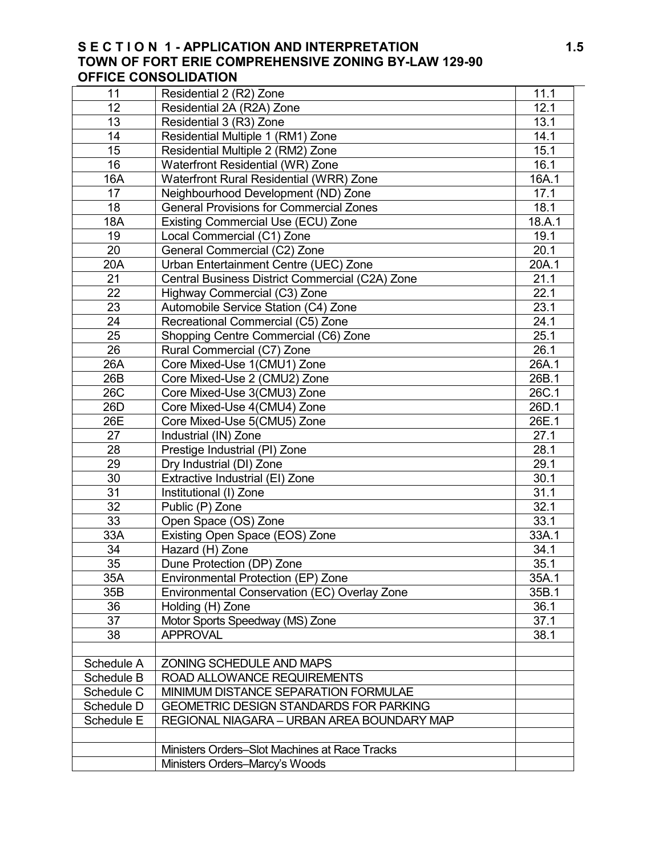## **S E C T I O N 1 - APPLICATION AND INTERPRETATION 1.5 TOWN OF FORT ERIE COMPREHENSIVE ZONING BY-LAW 129-90 OFFICE CONSOLIDATION**

| 11              | Residential 2 (R2) Zone                         | 11.1              |
|-----------------|-------------------------------------------------|-------------------|
| 12              | Residential 2A (R2A) Zone                       | 12.1              |
| 13              | Residential 3 (R3) Zone                         | 13.1              |
| 14              | Residential Multiple 1 (RM1) Zone               | 14.1              |
| 15              | Residential Multiple 2 (RM2) Zone               | 15.1              |
| 16              | Waterfront Residential (WR) Zone                | 16.1              |
| 16A             | Waterfront Rural Residential (WRR) Zone         | 16A.1             |
| 17              | Neighbourhood Development (ND) Zone             | 17.1              |
| 18              | <b>General Provisions for Commercial Zones</b>  | 18.1              |
| 18A             | Existing Commercial Use (ECU) Zone              | 18.A.1            |
| 19              | Local Commercial (C1) Zone                      | 19.1              |
| $\overline{20}$ | General Commercial (C2) Zone                    | 20.1              |
| 20A             | Urban Entertainment Centre (UEC) Zone           | 20A.1             |
| 21              | Central Business District Commercial (C2A) Zone | 21.1              |
| 22              | Highway Commercial (C3) Zone                    | $\overline{2}2.1$ |
| 23              | Automobile Service Station (C4) Zone            | 23.1              |
| $\overline{24}$ | Recreational Commercial (C5) Zone               | 24.1              |
| 25              | Shopping Centre Commercial (C6) Zone            | 25.1              |
| 26              | Rural Commercial (C7) Zone                      | 26.1              |
| 26A             | Core Mixed-Use 1(CMU1) Zone                     | 26A.1             |
| 26B             | Core Mixed-Use 2 (CMU2) Zone                    | 26B.1             |
| <b>26C</b>      | Core Mixed-Use 3(CMU3) Zone                     | 26C.1             |
| 26 <sub>D</sub> | Core Mixed-Use 4(CMU4) Zone                     | 26D.1             |
| 26E             | Core Mixed-Use 5(CMU5) Zone                     | 26E.1             |
| 27              | Industrial (IN) Zone                            | 27.1              |
| 28              | Prestige Industrial (PI) Zone                   | 28.1              |
| $\overline{29}$ | Dry Industrial (DI) Zone                        | 29.1              |
| 30              | Extractive Industrial (EI) Zone                 | 30.1              |
| 31              | Institutional (I) Zone                          | 31.1              |
| $\overline{32}$ | Public (P) Zone                                 | 32.1              |
| 33              | Open Space (OS) Zone                            | 33.1              |
| 33A             | Existing Open Space (EOS) Zone                  | 33A.1             |
| 34              | Hazard (H) Zone                                 | 34.1              |
| 35              | Dune Protection (DP) Zone                       | 35.1              |
| 35A             | Environmental Protection (EP) Zone              | 35A.1             |
| 35B             | Environmental Conservation (EC) Overlay Zone    | 35B.1             |
| 36              | Holding (H) Zone                                | 36.1              |
| 37              | Motor Sports Speedway (MS) Zone                 | 37.1              |
| 38              | <b>APPROVAL</b>                                 | 38.1              |
|                 |                                                 |                   |
| Schedule A      | ZONING SCHEDULE AND MAPS                        |                   |
| Schedule B      | ROAD ALLOWANCE REQUIREMENTS                     |                   |
| Schedule C      | MINIMUM DISTANCE SEPARATION FORMULAE            |                   |
| Schedule D      | <b>GEOMETRIC DESIGN STANDARDS FOR PARKING</b>   |                   |
| Schedule E      | REGIONAL NIAGARA - URBAN AREA BOUNDARY MAP      |                   |
|                 |                                                 |                   |
|                 | Ministers Orders-Slot Machines at Race Tracks   |                   |
|                 | Ministers Orders-Marcy's Woods                  |                   |
|                 |                                                 |                   |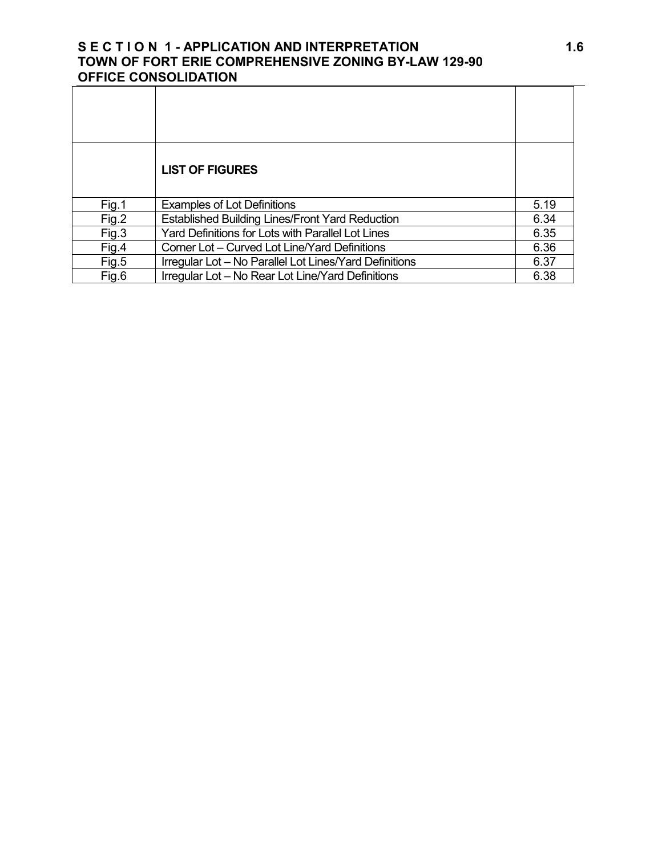# **S E C T I O N 1 - APPLICATION AND INTERPRETATION 1.6 TOWN OF FORT ERIE COMPREHENSIVE ZONING BY-LAW 129-90 OFFICE CONSOLIDATION**

|       | <b>LIST OF FIGURES</b>                                 |      |
|-------|--------------------------------------------------------|------|
| Fig.1 | <b>Examples of Lot Definitions</b>                     | 5.19 |
| Fig.2 | <b>Established Building Lines/Front Yard Reduction</b> | 6.34 |
| Fig.3 | Yard Definitions for Lots with Parallel Lot Lines      | 6.35 |
| Fig.4 | Corner Lot - Curved Lot Line/Yard Definitions          | 6.36 |
| Fig.5 | Irregular Lot - No Parallel Lot Lines/Yard Definitions | 6.37 |
| Fig.6 | Irregular Lot - No Rear Lot Line/Yard Definitions      | 6.38 |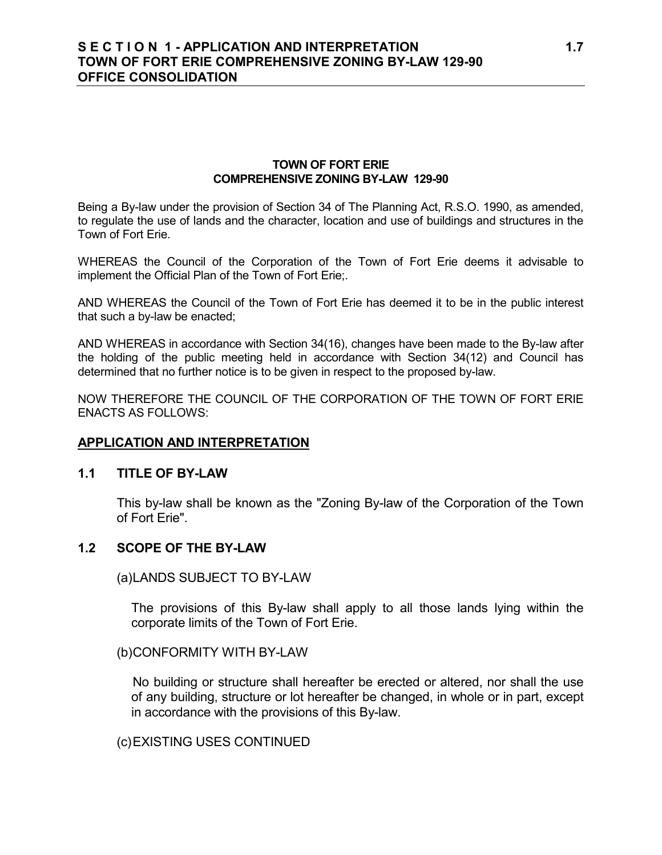## **S E C T I O N 1 - APPLICATION AND INTERPRETATION 1.7 TOWN OF FORT ERIE COMPREHENSIVE ZONING BY-LAW 129-90 OFFICE CONSOLIDATION**

#### **TOWN OF FORT ERIE COMPREHENSIVE ZONING BY-LAW 129-90**

Being a By-law under the provision of Section 34 of The Planning Act, R.S.O. 1990, as amended, to regulate the use of lands and the character, location and use of buildings and structures in the Town of Fort Erie.

WHEREAS the Council of the Corporation of the Town of Fort Erie deems it advisable to implement the Official Plan of the Town of Fort Erie;.

AND WHEREAS the Council of the Town of Fort Erie has deemed it to be in the public interest that such a by-law be enacted;

AND WHEREAS in accordance with Section 34(16), changes have been made to the By-law after the holding of the public meeting held in accordance with Section 34(12) and Council has determined that no further notice is to be given in respect to the proposed by-law.

NOW THEREFORE THE COUNCIL OF THE CORPORATION OF THE TOWN OF FORT ERIE ENACTS AS FOLLOWS:

#### **APPLICATION AND INTERPRETATION**

#### **1.1 TITLE OF BY-LAW**

This by-law shall be known as the "Zoning By-law of the Corporation of the Town of Fort Erie".

#### **1.2 SCOPE OF THE BY-LAW**

(a)LANDS SUBJECT TO BY-LAW

The provisions of this By-law shall apply to all those lands lying within the corporate limits of the Town of Fort Erie.

(b)CONFORMITY WITH BY-LAW

No building or structure shall hereafter be erected or altered, nor shall the use of any building, structure or lot hereafter be changed, in whole or in part, except in accordance with the provisions of this By-law.

(c)EXISTING USES CONTINUED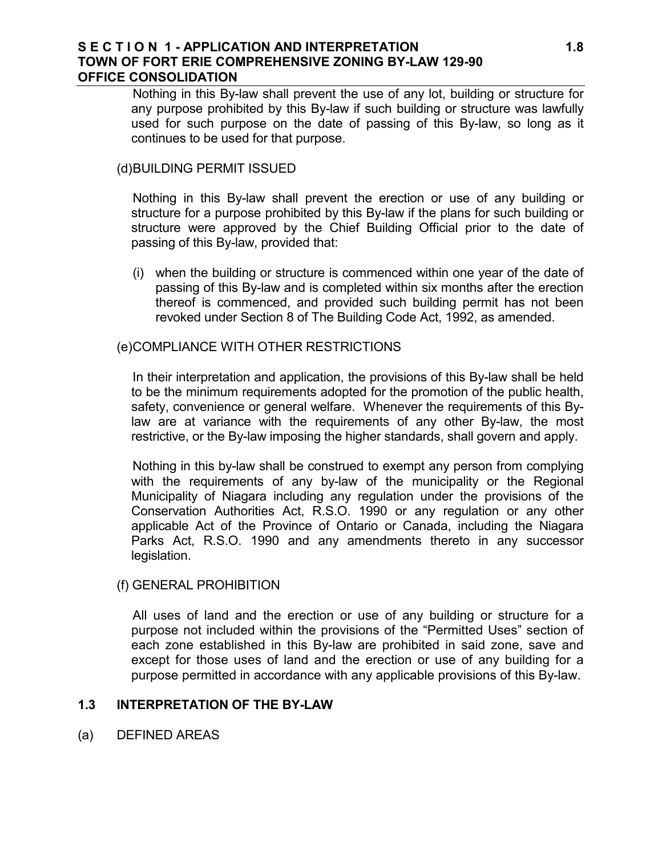#### **S E C T I O N 1 - APPLICATION AND INTERPRETATION 1.8 TOWN OF FORT ERIE COMPREHENSIVE ZONING BY-LAW 129-90 OFFICE CONSOLIDATION**

Nothing in this By-law shall prevent the use of any lot, building or structure for any purpose prohibited by this By-law if such building or structure was lawfully used for such purpose on the date of passing of this By-law, so long as it continues to be used for that purpose.

## (d)BUILDING PERMIT ISSUED

Nothing in this By-law shall prevent the erection or use of any building or structure for a purpose prohibited by this By-law if the plans for such building or structure were approved by the Chief Building Official prior to the date of passing of this By-law, provided that:

(i) when the building or structure is commenced within one year of the date of passing of this By-law and is completed within six months after the erection thereof is commenced, and provided such building permit has not been revoked under Section 8 of The Building Code Act, 1992, as amended.

## (e)COMPLIANCE WITH OTHER RESTRICTIONS

In their interpretation and application, the provisions of this By-law shall be held to be the minimum requirements adopted for the promotion of the public health, safety, convenience or general welfare. Whenever the requirements of this Bylaw are at variance with the requirements of any other By-law, the most restrictive, or the By-law imposing the higher standards, shall govern and apply.

Nothing in this by-law shall be construed to exempt any person from complying with the requirements of any by-law of the municipality or the Regional Municipality of Niagara including any regulation under the provisions of the Conservation Authorities Act, R.S.O. 1990 or any regulation or any other applicable Act of the Province of Ontario or Canada, including the Niagara Parks Act, R.S.O. 1990 and any amendments thereto in any successor legislation.

#### (f) GENERAL PROHIBITION

All uses of land and the erection or use of any building or structure for a purpose not included within the provisions of the "Permitted Uses" section of each zone established in this By-law are prohibited in said zone, save and except for those uses of land and the erection or use of any building for a purpose permitted in accordance with any applicable provisions of this By-law.

#### **1.3 INTERPRETATION OF THE BY-LAW**

(a) DEFINED AREAS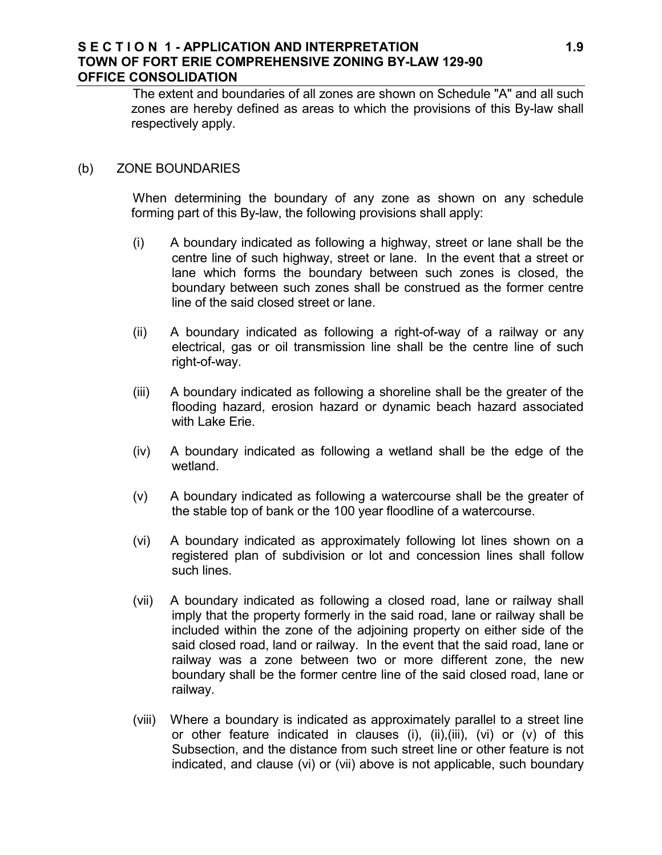## **S E C T I O N 1 - APPLICATION AND INTERPRETATION 1.9 TOWN OF FORT ERIE COMPREHENSIVE ZONING BY-LAW 129-90 OFFICE CONSOLIDATION**

The extent and boundaries of all zones are shown on Schedule "A" and all such zones are hereby defined as areas to which the provisions of this By-law shall respectively apply.

#### (b) ZONE BOUNDARIES

When determining the boundary of any zone as shown on any schedule forming part of this By-law, the following provisions shall apply:

- (i) A boundary indicated as following a highway, street or lane shall be the centre line of such highway, street or lane. In the event that a street or lane which forms the boundary between such zones is closed, the boundary between such zones shall be construed as the former centre line of the said closed street or lane.
- (ii) A boundary indicated as following a right-of-way of a railway or any electrical, gas or oil transmission line shall be the centre line of such right-of-way.
- (iii) A boundary indicated as following a shoreline shall be the greater of the flooding hazard, erosion hazard or dynamic beach hazard associated with Lake Erie.
- (iv) A boundary indicated as following a wetland shall be the edge of the wetland.
- (v) A boundary indicated as following a watercourse shall be the greater of the stable top of bank or the 100 year floodline of a watercourse.
- (vi) A boundary indicated as approximately following lot lines shown on a registered plan of subdivision or lot and concession lines shall follow such lines.
- (vii) A boundary indicated as following a closed road, lane or railway shall imply that the property formerly in the said road, lane or railway shall be included within the zone of the adjoining property on either side of the said closed road, land or railway. In the event that the said road, lane or railway was a zone between two or more different zone, the new boundary shall be the former centre line of the said closed road, lane or railway.
- (viii) Where a boundary is indicated as approximately parallel to a street line or other feature indicated in clauses (i), (ii),(iii), (vi) or (v) of this Subsection, and the distance from such street line or other feature is not indicated, and clause (vi) or (vii) above is not applicable, such boundary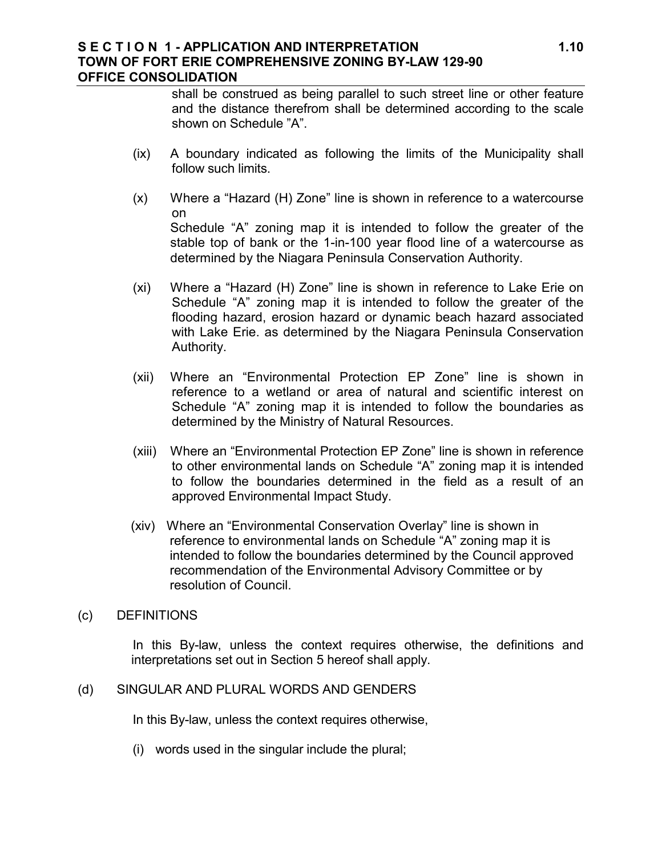#### **S E C T I O N 1 - APPLICATION AND INTERPRETATION 1.10 TOWN OF FORT ERIE COMPREHENSIVE ZONING BY-LAW 129-90 OFFICE CONSOLIDATION**

shall be construed as being parallel to such street line or other feature and the distance therefrom shall be determined according to the scale shown on Schedule "A".

- (ix) A boundary indicated as following the limits of the Municipality shall follow such limits.
- (x) Where a "Hazard (H) Zone" line is shown in reference to a watercourse on Schedule "A" zoning map it is intended to follow the greater of the stable top of bank or the 1-in-100 year flood line of a watercourse as determined by the Niagara Peninsula Conservation Authority.
- (xi) Where a "Hazard (H) Zone" line is shown in reference to Lake Erie on Schedule "A" zoning map it is intended to follow the greater of the flooding hazard, erosion hazard or dynamic beach hazard associated with Lake Erie. as determined by the Niagara Peninsula Conservation Authority.
- (xii) Where an "Environmental Protection EP Zone" line is shown in reference to a wetland or area of natural and scientific interest on Schedule "A" zoning map it is intended to follow the boundaries as determined by the Ministry of Natural Resources.
- (xiii) Where an "Environmental Protection EP Zone" line is shown in reference to other environmental lands on Schedule "A" zoning map it is intended to follow the boundaries determined in the field as a result of an approved Environmental Impact Study.
- (xiv) Where an "Environmental Conservation Overlay" line is shown in reference to environmental lands on Schedule "A" zoning map it is intended to follow the boundaries determined by the Council approved recommendation of the Environmental Advisory Committee or by resolution of Council.
- (c) DEFINITIONS

In this By-law, unless the context requires otherwise, the definitions and interpretations set out in Section 5 hereof shall apply.

## (d) SINGULAR AND PLURAL WORDS AND GENDERS

In this By-law, unless the context requires otherwise,

(i) words used in the singular include the plural;